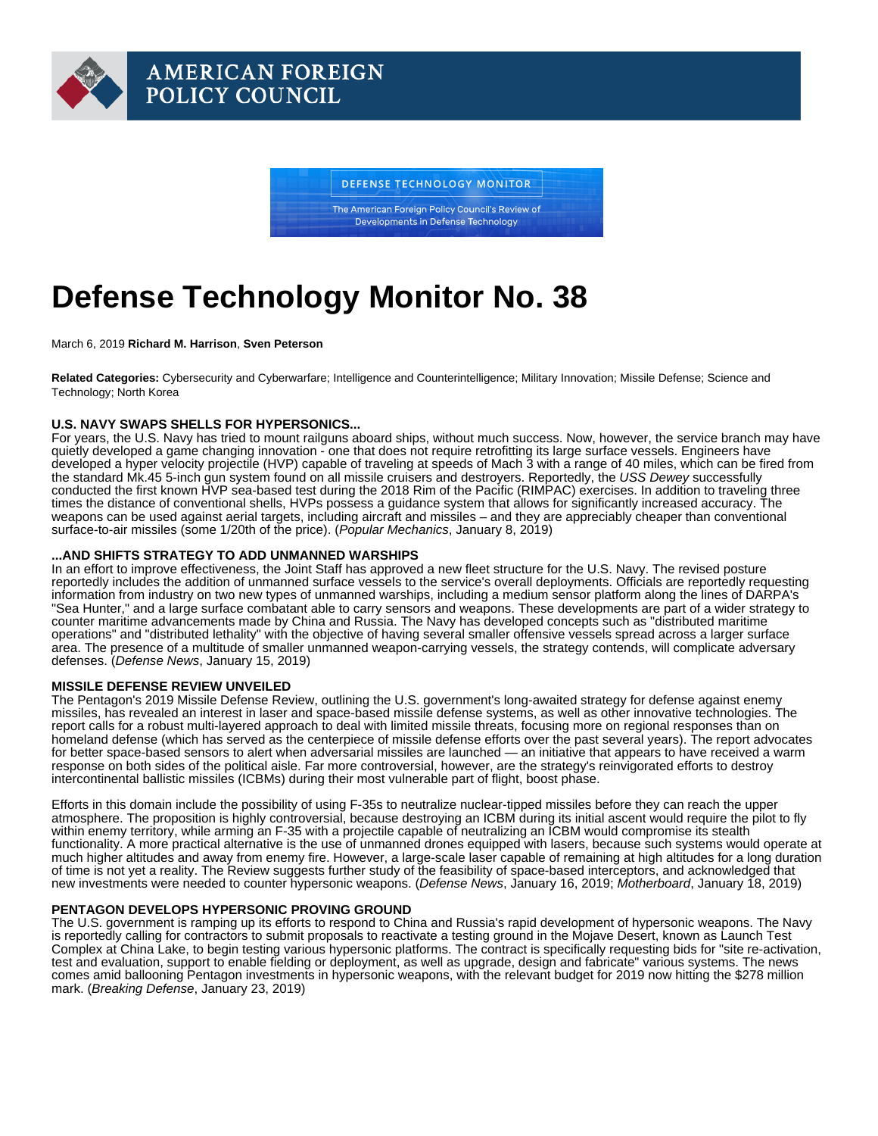# Defense Technology Monitor No. 38

March 6, 2019 Richard M. Harrison , Sven Peterson

Related Categories: Cybersecurity and Cyberwarfare; Intelligence and Counterintelligence; Military Innovation; Missile Defense; Science and Technology; North Korea

## U.S. NAVY SWAPS SHELLS FOR HYPERSONICS...

For years, the U.S. Navy has tried to mount railguns aboard ships, without much success. Now, however, the service branch may have quietly developed a game changing innovation - one that does not require retrofitting its large surface vessels. Engineers have developed a hyper velocity projectile (HVP) capable of traveling at speeds of Mach 3 with a range of 40 miles, which can be fired from the standard Mk.45 5-inch gun system found on all missile cruisers and destroyers. Reportedly, the USS Dewey successfully conducted the first known HVP sea-based test during the 2018 Rim of the Pacific (RIMPAC) exercises. In addition to traveling three times the distance of conventional shells, HVPs possess a guidance system that allows for significantly increased accuracy. The weapons can be used against aerial targets, including aircraft and missiles – and they are appreciably cheaper than conventional surface-to-air missiles (some 1/20th of the price). ([Popular Mechanics](https://www.popularmechanics.com/military/weapons/a25804867/us-navy-hvp-heavy-gun-shells-rimpac/), January 8, 2019)

#### ...AND SHIFTS STRATEGY TO ADD UNMANNED WARSHIPS

In an effort to improve effectiveness, the Joint Staff has approved a new fleet structure for the U.S. Navy. The revised posture reportedly includes the addition of unmanned surface vessels to the service's overall deployments. Officials are reportedly requesting information from industry on two new types of unmanned warships, including a medium sensor platform along the lines of DARPA's "Sea Hunter," and a large surface combatant able to carry sensors and weapons. These developments are part of a wider strategy to counter maritime advancements made by China and Russia. The Navy has developed concepts such as "distributed maritime operations" and "distributed lethality" with the objective of having several smaller offensive vessels spread across a larger surface area. The presence of a multitude of smaller unmanned weapon-carrying vessels, the strategy contends, will complicate adversary defenses. ([Defense News](https://www.defensenews.com/naval/2019/01/15/the-us-navy-moves-toward-unleashing-killer-robot-ships-on-the-worlds-oceans/), January 15, 2019)

#### MISSILE DEFENSE REVIEW UNVEILED

The Pentagon's 2019 Missile Defense Review, outlining the U.S. government's long-awaited strategy for defense against enemy missiles, has revealed an interest in laser and space-based missile defense systems, as well as other innovative technologies. The report calls for a robust multi-layered approach to deal with limited missile threats, focusing more on regional responses than on homeland defense (which has served as the centerpiece of missile defense efforts over the past several years). The report advocates for better space-based sensors to alert when adversarial missiles are launched — an initiative that appears to have received a warm response on both sides of the political aisle. Far more controversial, however, are the strategy's reinvigorated efforts to destroy intercontinental ballistic missiles (ICBMs) during their most vulnerable part of flight, boost phase.

Efforts in this domain include the possibility of using F-35s to neutralize nuclear-tipped missiles before they can reach the upper atmosphere. The proposition is highly controversial, because destroying an ICBM during its initial ascent would require the pilot to fly within enemy territory, while arming an F-35 with a projectile capable of neutralizing an ICBM would compromise its stealth functionality. A more practical alternative is the use of unmanned drones equipped with lasers, because such systems would operate at much higher altitudes and away from enemy fire. However, a large-scale laser capable of remaining at high altitudes for a long duration of time is not yet a reality. The Review suggests further study of the feasibility of space-based interceptors, and acknowledged that new investments were needed to counter hypersonic weapons. ([Defense News](https://www.defensenews.com/breaking-news/2019/01/17/space-based-interceptors-and-drones-with-lasers-the-pentagons-missile-defense-review-wish-list-revealed/), January 16, 2019; [Motherboard,](https://motherboard.vice.com/en_us/article/j57e9k/now-the-f-35-is-also-an-anti-nuke-weapon) January 18, 2019)

### PENTAGON DEVELOPS HYPERSONIC PROVING GROUND

The U.S. government is ramping up its efforts to respond to China and Russia's rapid development of hypersonic weapons. The Navy is reportedly calling for contractors to submit proposals to reactivate a testing ground in the Mojave Desert, known as Launch Test Complex at China Lake, to begin testing various hypersonic platforms. The contract is specifically requesting bids for "site re-activation, test and evaluation, support to enable fielding or deployment, as well as upgrade, design and fabricate" various systems. The news comes amid ballooning Pentagon investments in hypersonic weapons, with the relevant budget for 2019 now hitting the \$278 million mark. ([Breaking Defense,](https://breakingdefense.com/2019/01/navy-builds-hypersonic-test-ground-in-california/) January 23, 2019)